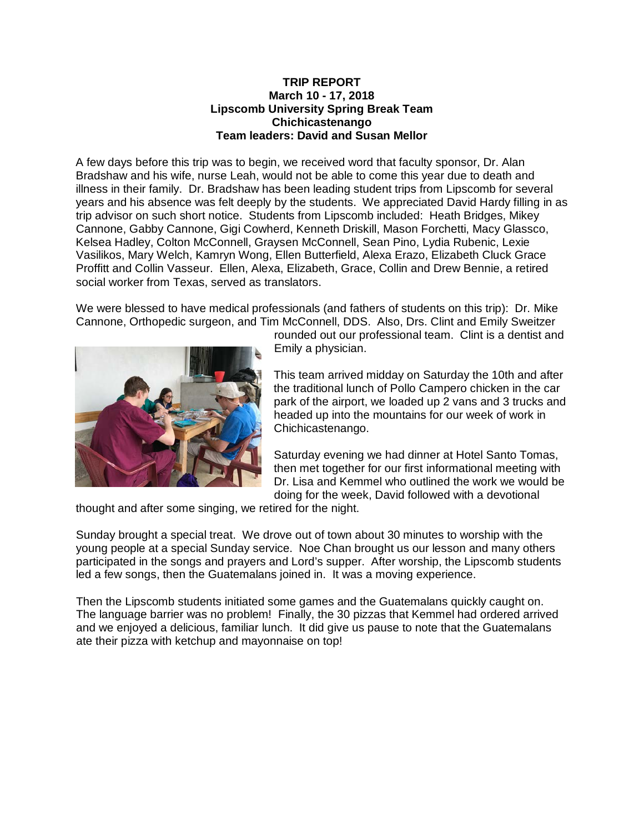## **TRIP REPORT March 10 - 17, 2018 Lipscomb University Spring Break Team Chichicastenango Team leaders: David and Susan Mellor**

A few days before this trip was to begin, we received word that faculty sponsor, Dr. Alan Bradshaw and his wife, nurse Leah, would not be able to come this year due to death and illness in their family. Dr. Bradshaw has been leading student trips from Lipscomb for several years and his absence was felt deeply by the students. We appreciated David Hardy filling in as trip advisor on such short notice. Students from Lipscomb included: Heath Bridges, Mikey Cannone, Gabby Cannone, Gigi Cowherd, Kenneth Driskill, Mason Forchetti, Macy Glassco, Kelsea Hadley, Colton McConnell, Graysen McConnell, Sean Pino, Lydia Rubenic, Lexie Vasilikos, Mary Welch, Kamryn Wong, Ellen Butterfield, Alexa Erazo, Elizabeth Cluck Grace Proffitt and Collin Vasseur. Ellen, Alexa, Elizabeth, Grace, Collin and Drew Bennie, a retired social worker from Texas, served as translators.

We were blessed to have medical professionals (and fathers of students on this trip): Dr. Mike Cannone, Orthopedic surgeon, and Tim McConnell, DDS. Also, Drs. Clint and Emily Sweitzer



rounded out our professional team. Clint is a dentist and Emily a physician.

This team arrived midday on Saturday the 10th and after the traditional lunch of Pollo Campero chicken in the car park of the airport, we loaded up 2 vans and 3 trucks and headed up into the mountains for our week of work in Chichicastenango.

Saturday evening we had dinner at Hotel Santo Tomas, then met together for our first informational meeting with Dr. Lisa and Kemmel who outlined the work we would be doing for the week, David followed with a devotional

thought and after some singing, we retired for the night.

Sunday brought a special treat. We drove out of town about 30 minutes to worship with the young people at a special Sunday service. Noe Chan brought us our lesson and many others participated in the songs and prayers and Lord's supper. After worship, the Lipscomb students led a few songs, then the Guatemalans joined in. It was a moving experience.

Then the Lipscomb students initiated some games and the Guatemalans quickly caught on. The language barrier was no problem! Finally, the 30 pizzas that Kemmel had ordered arrived and we enjoyed a delicious, familiar lunch. It did give us pause to note that the Guatemalans ate their pizza with ketchup and mayonnaise on top!